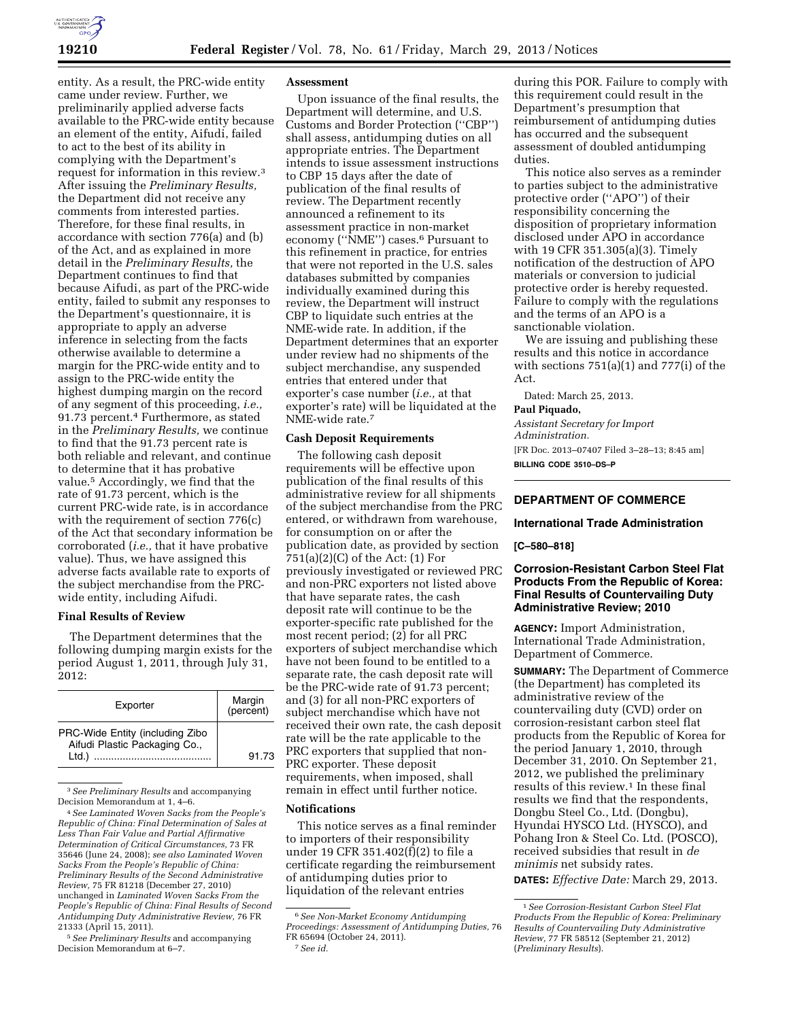entity. As a result, the PRC-wide entity came under review. Further, we preliminarily applied adverse facts available to the PRC-wide entity because an element of the entity, Aifudi, failed to act to the best of its ability in complying with the Department's request for information in this review.3 After issuing the *Preliminary Results,*  the Department did not receive any comments from interested parties. Therefore, for these final results, in accordance with section 776(a) and (b) of the Act, and as explained in more detail in the *Preliminary Results,* the Department continues to find that because Aifudi, as part of the PRC-wide entity, failed to submit any responses to the Department's questionnaire, it is appropriate to apply an adverse inference in selecting from the facts otherwise available to determine a margin for the PRC-wide entity and to assign to the PRC-wide entity the highest dumping margin on the record of any segment of this proceeding, *i.e.,*  91.73 percent.4 Furthermore, as stated in the *Preliminary Results,* we continue to find that the 91.73 percent rate is both reliable and relevant, and continue to determine that it has probative value.5 Accordingly, we find that the rate of 91.73 percent, which is the current PRC-wide rate, is in accordance with the requirement of section 776(c) of the Act that secondary information be corroborated (*i.e.,* that it have probative value). Thus, we have assigned this adverse facts available rate to exports of the subject merchandise from the PRCwide entity, including Aifudi.

## **Final Results of Review**

The Department determines that the following dumping margin exists for the period August 1, 2011, through July 31, 2012:

| Exporter                                                                 | Margin<br>(percent) |
|--------------------------------------------------------------------------|---------------------|
| PRC-Wide Entity (including Zibo<br>Aifudi Plastic Packaging Co.,<br>Ltd. | 91.73               |

3*See Preliminary Results* and accompanying Decision Memorandum at 1, 4–6.

5*See Preliminary Results* and accompanying Decision Memorandum at 6–7.

#### **Assessment**

Upon issuance of the final results, the Department will determine, and U.S. Customs and Border Protection (''CBP'') shall assess, antidumping duties on all appropriate entries. The Department intends to issue assessment instructions to CBP 15 days after the date of publication of the final results of review. The Department recently announced a refinement to its assessment practice in non-market economy (''NME'') cases.6 Pursuant to this refinement in practice, for entries that were not reported in the U.S. sales databases submitted by companies individually examined during this review, the Department will instruct CBP to liquidate such entries at the NME-wide rate. In addition, if the Department determines that an exporter under review had no shipments of the subject merchandise, any suspended entries that entered under that exporter's case number (*i.e.,* at that exporter's rate) will be liquidated at the NME-wide rate.7

## **Cash Deposit Requirements**

The following cash deposit requirements will be effective upon publication of the final results of this administrative review for all shipments of the subject merchandise from the PRC entered, or withdrawn from warehouse, for consumption on or after the publication date, as provided by section 751(a)(2)(C) of the Act: (1) For previously investigated or reviewed PRC and non-PRC exporters not listed above that have separate rates, the cash deposit rate will continue to be the exporter-specific rate published for the most recent period; (2) for all PRC exporters of subject merchandise which have not been found to be entitled to a separate rate, the cash deposit rate will be the PRC-wide rate of 91.73 percent; and (3) for all non-PRC exporters of subject merchandise which have not received their own rate, the cash deposit rate will be the rate applicable to the PRC exporters that supplied that non-PRC exporter. These deposit requirements, when imposed, shall remain in effect until further notice.

#### **Notifications**

This notice serves as a final reminder to importers of their responsibility under 19 CFR 351.402(f)(2) to file a certificate regarding the reimbursement of antidumping duties prior to liquidation of the relevant entries

during this POR. Failure to comply with this requirement could result in the Department's presumption that reimbursement of antidumping duties has occurred and the subsequent assessment of doubled antidumping duties.

This notice also serves as a reminder to parties subject to the administrative protective order (''APO'') of their responsibility concerning the disposition of proprietary information disclosed under APO in accordance with 19 CFR 351.305(a)(3). Timely notification of the destruction of APO materials or conversion to judicial protective order is hereby requested. Failure to comply with the regulations and the terms of an APO is a sanctionable violation.

We are issuing and publishing these results and this notice in accordance with sections 751(a)(1) and 777(i) of the Act.

Dated: March 25, 2013.

## **Paul Piquado,**

*Assistant Secretary for Import Administration.*  [FR Doc. 2013–07407 Filed 3–28–13; 8:45 am] **BILLING CODE 3510–DS–P** 

# **DEPARTMENT OF COMMERCE**

# **International Trade Administration**

#### **[C–580–818]**

# **Corrosion-Resistant Carbon Steel Flat Products From the Republic of Korea: Final Results of Countervailing Duty Administrative Review; 2010**

**AGENCY:** Import Administration, International Trade Administration, Department of Commerce.

**SUMMARY:** The Department of Commerce (the Department) has completed its administrative review of the countervailing duty (CVD) order on corrosion-resistant carbon steel flat products from the Republic of Korea for the period January 1, 2010, through December 31, 2010. On September 21, 2012, we published the preliminary results of this review.<sup>1</sup> In these final results we find that the respondents, Dongbu Steel Co., Ltd. (Dongbu), Hyundai HYSCO Ltd. (HYSCO), and Pohang Iron & Steel Co. Ltd. (POSCO), received subsidies that result in *de minimis* net subsidy rates.

**DATES:** *Effective Date:* March 29, 2013.

<sup>4</sup>*See Laminated Woven Sacks from the People's Republic of China: Final Determination of Sales at Less Than Fair Value and Partial Affirmative Determination of Critical Circumstances,* 73 FR 35646 (June 24, 2008); *see also Laminated Woven Sacks From the People's Republic of China: Preliminary Results of the Second Administrative Review,* 75 FR 81218 (December 27, 2010) unchanged in *Laminated Woven Sacks From the People's Republic of China: Final Results of Second Antidumping Duty Administrative Review,* 76 FR 21333 (April 15, 2011).

<sup>6</sup>*See Non-Market Economy Antidumping Proceedings: Assessment of Antidumping Duties,* 76 FR 65694 (October 24, 2011). 7*See id.* 

<sup>1</sup>*See Corrosion-Resistant Carbon Steel Flat Products From the Republic of Korea: Preliminary Results of Countervailing Duty Administrative Review,* 77 FR 58512 (September 21, 2012) (*Preliminary Results*).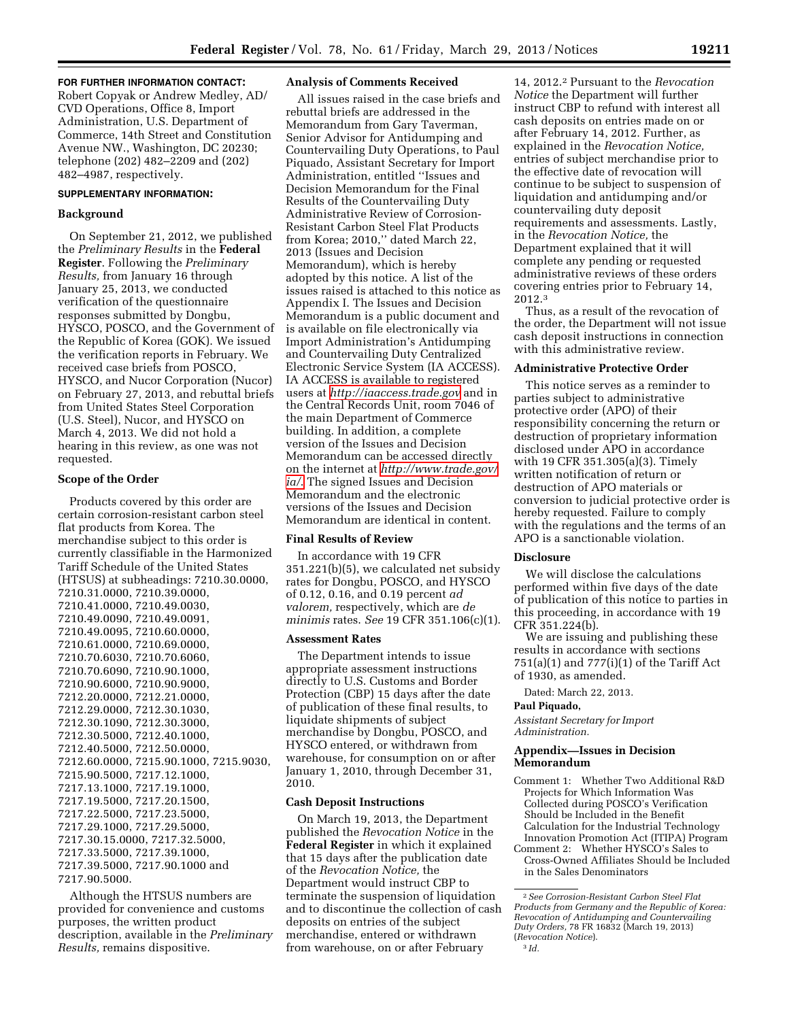#### **FOR FURTHER INFORMATION CONTACT:**

Robert Copyak or Andrew Medley, AD/ CVD Operations, Office 8, Import Administration, U.S. Department of Commerce, 14th Street and Constitution Avenue NW., Washington, DC 20230; telephone (202) 482–2209 and (202) 482–4987, respectively.

#### **SUPPLEMENTARY INFORMATION:**

# **Background**

On September 21, 2012, we published the *Preliminary Results* in the **Federal Register**. Following the *Preliminary Results,* from January 16 through January 25, 2013, we conducted verification of the questionnaire responses submitted by Dongbu, HYSCO, POSCO, and the Government of the Republic of Korea (GOK). We issued the verification reports in February. We received case briefs from POSCO, HYSCO, and Nucor Corporation (Nucor) on February 27, 2013, and rebuttal briefs from United States Steel Corporation (U.S. Steel), Nucor, and HYSCO on March 4, 2013. We did not hold a hearing in this review, as one was not requested.

#### **Scope of the Order**

Products covered by this order are certain corrosion-resistant carbon steel flat products from Korea. The merchandise subject to this order is currently classifiable in the Harmonized Tariff Schedule of the United States (HTSUS) at subheadings: 7210.30.0000, 7210.31.0000, 7210.39.0000, 7210.41.0000, 7210.49.0030, 7210.49.0090, 7210.49.0091, 7210.49.0095, 7210.60.0000, 7210.61.0000, 7210.69.0000, 7210.70.6030, 7210.70.6060, 7210.70.6090, 7210.90.1000, 7210.90.6000, 7210.90.9000, 7212.20.0000, 7212.21.0000, 7212.29.0000, 7212.30.1030, 7212.30.1090, 7212.30.3000, 7212.30.5000, 7212.40.1000, 7212.40.5000, 7212.50.0000, 7212.60.0000, 7215.90.1000, 7215.9030, 7215.90.5000, 7217.12.1000, 7217.13.1000, 7217.19.1000, 7217.19.5000, 7217.20.1500, 7217.22.5000, 7217.23.5000, 7217.29.1000, 7217.29.5000, 7217.30.15.0000, 7217.32.5000, 7217.33.5000, 7217.39.1000, 7217.39.5000, 7217.90.1000 and 7217.90.5000.

Although the HTSUS numbers are provided for convenience and customs purposes, the written product description, available in the *Preliminary Results,* remains dispositive.

#### **Analysis of Comments Received**

All issues raised in the case briefs and rebuttal briefs are addressed in the Memorandum from Gary Taverman, Senior Advisor for Antidumping and Countervailing Duty Operations, to Paul Piquado, Assistant Secretary for Import Administration, entitled ''Issues and Decision Memorandum for the Final Results of the Countervailing Duty Administrative Review of Corrosion-Resistant Carbon Steel Flat Products from Korea; 2010,'' dated March 22, 2013 (Issues and Decision Memorandum), which is hereby adopted by this notice. A list of the issues raised is attached to this notice as Appendix I. The Issues and Decision Memorandum is a public document and is available on file electronically via Import Administration's Antidumping and Countervailing Duty Centralized Electronic Service System (IA ACCESS). IA ACCESS is available to registered users at *<http://iaaccess.trade.gov>* and in the Central Records Unit, room 7046 of the main Department of Commerce building. In addition, a complete version of the Issues and Decision Memorandum can be accessed directly on the internet at *[http://www.trade.gov/](http://www.trade.gov/ia/)  [ia/](http://www.trade.gov/ia/)*. The signed Issues and Decision Memorandum and the electronic versions of the Issues and Decision Memorandum are identical in content.

## **Final Results of Review**

In accordance with 19 CFR 351.221(b)(5), we calculated net subsidy rates for Dongbu, POSCO, and HYSCO of 0.12, 0.16, and 0.19 percent *ad valorem,* respectively, which are *de minimis* rates. *See* 19 CFR 351.106(c)(1).

#### **Assessment Rates**

The Department intends to issue appropriate assessment instructions directly to U.S. Customs and Border Protection (CBP) 15 days after the date of publication of these final results, to liquidate shipments of subject merchandise by Dongbu, POSCO, and HYSCO entered, or withdrawn from warehouse, for consumption on or after January 1, 2010, through December 31, 2010.

#### **Cash Deposit Instructions**

On March 19, 2013, the Department published the *Revocation Notice* in the **Federal Register** in which it explained that 15 days after the publication date of the *Revocation Notice,* the Department would instruct CBP to terminate the suspension of liquidation and to discontinue the collection of cash deposits on entries of the subject merchandise, entered or withdrawn from warehouse, on or after February

14, 2012.2 Pursuant to the *Revocation Notice* the Department will further instruct CBP to refund with interest all cash deposits on entries made on or after February 14, 2012. Further, as explained in the *Revocation Notice,*  entries of subject merchandise prior to the effective date of revocation will continue to be subject to suspension of liquidation and antidumping and/or countervailing duty deposit requirements and assessments. Lastly, in the *Revocation Notice,* the Department explained that it will complete any pending or requested administrative reviews of these orders covering entries prior to February 14, 2012.3

Thus, as a result of the revocation of the order, the Department will not issue cash deposit instructions in connection with this administrative review.

# **Administrative Protective Order**

This notice serves as a reminder to parties subject to administrative protective order (APO) of their responsibility concerning the return or destruction of proprietary information disclosed under APO in accordance with 19 CFR 351.305(a)(3). Timely written notification of return or destruction of APO materials or conversion to judicial protective order is hereby requested. Failure to comply with the regulations and the terms of an APO is a sanctionable violation.

## **Disclosure**

We will disclose the calculations performed within five days of the date of publication of this notice to parties in this proceeding, in accordance with 19 CFR 351.224(b).

We are issuing and publishing these results in accordance with sections 751(a)(1) and 777(i)(1) of the Tariff Act of 1930, as amended.

Dated: March 22, 2013.

### **Paul Piquado,**

*Assistant Secretary for Import Administration.* 

# **Appendix—Issues in Decision Memorandum**

- Comment 1: Whether Two Additional R&D Projects for Which Information Was Collected during POSCO's Verification Should be Included in the Benefit Calculation for the Industrial Technology Innovation Promotion Act (ITIPA) Program
- Comment 2: Whether HYSCO's Sales to Cross-Owned Affiliates Should be Included

in the Sales Denominators

<sup>2</sup>*See Corrosion-Resistant Carbon Steel Flat Products from Germany and the Republic of Korea: Revocation of Antidumping and Countervailing Duty Orders,* 78 FR 16832 (March 19, 2013) (*Revocation Notice*). 3 *Id.*